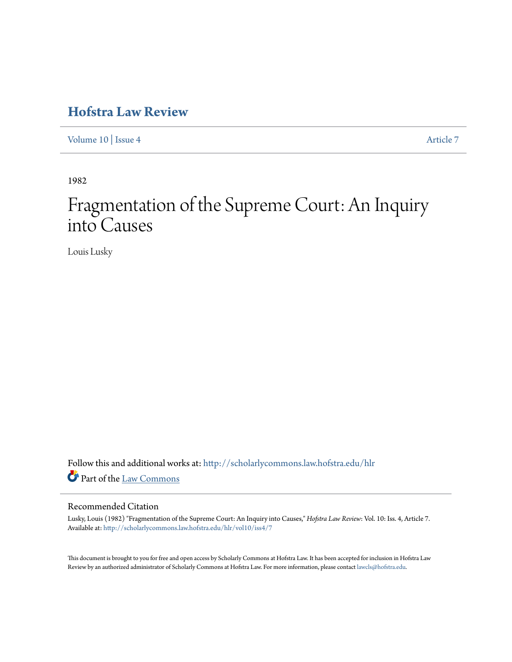## **[Hofstra Law Review](http://scholarlycommons.law.hofstra.edu/hlr?utm_source=scholarlycommons.law.hofstra.edu%2Fhlr%2Fvol10%2Fiss4%2F7&utm_medium=PDF&utm_campaign=PDFCoverPages)**

[Volume 10](http://scholarlycommons.law.hofstra.edu/hlr/vol10?utm_source=scholarlycommons.law.hofstra.edu%2Fhlr%2Fvol10%2Fiss4%2F7&utm_medium=PDF&utm_campaign=PDFCoverPages) | [Issue 4](http://scholarlycommons.law.hofstra.edu/hlr/vol10/iss4?utm_source=scholarlycommons.law.hofstra.edu%2Fhlr%2Fvol10%2Fiss4%2F7&utm_medium=PDF&utm_campaign=PDFCoverPages) [Article 7](http://scholarlycommons.law.hofstra.edu/hlr/vol10/iss4/7?utm_source=scholarlycommons.law.hofstra.edu%2Fhlr%2Fvol10%2Fiss4%2F7&utm_medium=PDF&utm_campaign=PDFCoverPages)

1982

# Fragmentation of the Supreme Court: An Inquiry into Causes

Louis Lusky

Follow this and additional works at: [http://scholarlycommons.law.hofstra.edu/hlr](http://scholarlycommons.law.hofstra.edu/hlr?utm_source=scholarlycommons.law.hofstra.edu%2Fhlr%2Fvol10%2Fiss4%2F7&utm_medium=PDF&utm_campaign=PDFCoverPages) Part of the [Law Commons](http://network.bepress.com/hgg/discipline/578?utm_source=scholarlycommons.law.hofstra.edu%2Fhlr%2Fvol10%2Fiss4%2F7&utm_medium=PDF&utm_campaign=PDFCoverPages)

## Recommended Citation

Lusky, Louis (1982) "Fragmentation of the Supreme Court: An Inquiry into Causes," *Hofstra Law Review*: Vol. 10: Iss. 4, Article 7. Available at: [http://scholarlycommons.law.hofstra.edu/hlr/vol10/iss4/7](http://scholarlycommons.law.hofstra.edu/hlr/vol10/iss4/7?utm_source=scholarlycommons.law.hofstra.edu%2Fhlr%2Fvol10%2Fiss4%2F7&utm_medium=PDF&utm_campaign=PDFCoverPages)

This document is brought to you for free and open access by Scholarly Commons at Hofstra Law. It has been accepted for inclusion in Hofstra Law Review by an authorized administrator of Scholarly Commons at Hofstra Law. For more information, please contact [lawcls@hofstra.edu](mailto:lawcls@hofstra.edu).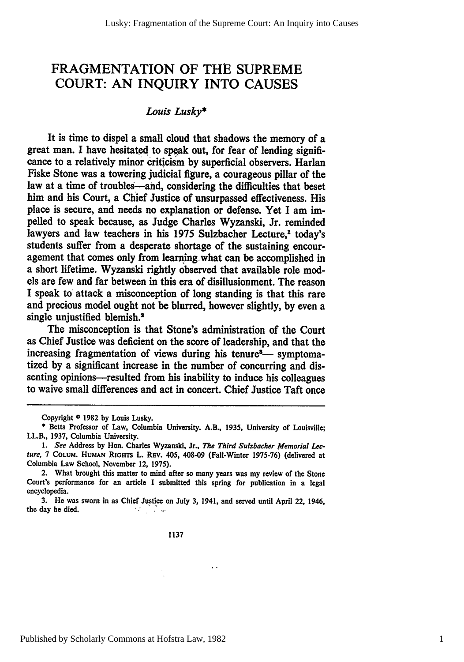## FRAGMENTATION OF THE SUPREME COURT: AN INQUIRY INTO CAUSES

## *Louis Lusky\**

It is time to dispel a small cloud that shadows the memory of a great man. **I** have hesitated to speak out, for fear of lending significance to a relatively minor criticism **by** superficial observers. Harlan Fiske Stone was a towering judicial figure, a courageous pillar of the law at a time of troubles-and, considering the difficulties that beset him and his Court, a Chief Justice of unsurpassed effectiveness. His place is secure, and needs no explanation or defense. Yet I am impelled to speak because, as Judge Charles Wyzanski, Jr. reminded lawyers and law teachers in his 1975 Sulzbacher Lecture,<sup>1</sup> today's students suffer from a desperate shortage of the sustaining encouragement that comes only from learning what can be accomplished in a short lifetime. Wyzanski rightly observed that available role models are few and far between in this era of disillusionment. The reason I speak to attack a misconception of long standing is that this rare and precious model ought not **be** blurred, however slightly, **by** even a single uniustified blemish.<sup>2</sup>

The misconception is that Stone's administration of the Court as Chief Justice was deficient on the score of leadership, and that the increasing fragmentation of views during his tenure<sup>3</sup>— symptomatized **by** a significant increase in the number of concurring and dissenting opinions—resulted from his inability to induce his colleagues to waive small differences and act in concert. Chief Justice Taft once

 $\ddot{\phantom{1}}$ 

Copyright **0 1982 by** Louis Lusky.

**<sup>\*</sup>** Betts Professor of Law, Columbia University. A.B., **1935,** University of Louisville; LL.B., **1937,** Columbia University.

**<sup>1.</sup>** See Address **by** Hon. Charles Wyzanski, Jr., *The Third Sulzbacher* Memorial Lecture, **7** COLUM. **HUMAN RiGHTs** L. **REv.** 405, 408-09 (Fall-Winter **1975-76)** (delivered at Columbia Law School, November 12, **1975).**

<sup>2.</sup> What brought this matter to mind after so many years was my review of the Stone Court's performance for an article I submitted this spring for publication in a legal encyclopedia.

**<sup>3.</sup>** He was sworn in as Chief Justice on July **3,** 1941, and served until April 22, 1946, the day he died.  $M_{\rm{BH}}=100$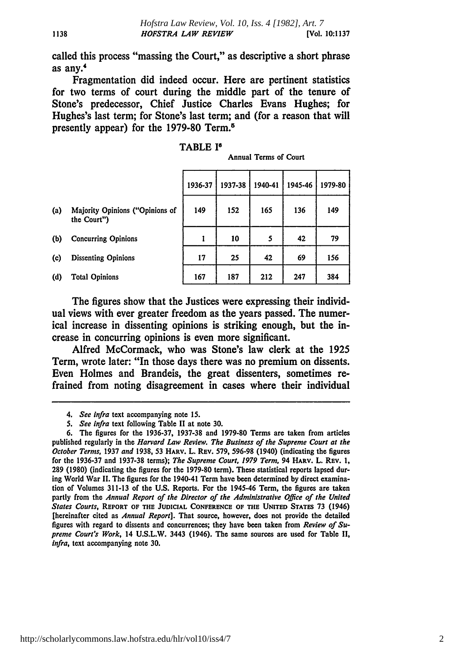called this process "massing the Court," as descriptive a short phrase as any.

Fragmentation did indeed occur. Here are pertinent statistics for two terms of court during the middle part of the tenure of Stone's predecessor, Chief Justice Charles Evans Hughes; for Hughes's last term; for Stone's last term; and (for a reason that will presently appear) for the **1979-80** Term.'

## TABLE **I**

| Annual Terms of Court |  |
|-----------------------|--|
|-----------------------|--|

|     |                                                | 1936-37 | 1937-38 | 1940-41 | 1945-46 | 1979-80 |
|-----|------------------------------------------------|---------|---------|---------|---------|---------|
| (a) | Majority Opinions ("Opinions of<br>the Court") | 149     | 152     | 165     | 136     | 149     |
| (b) | <b>Concurring Opinions</b>                     | 1       | 10      | 5       | 42      | 79      |
| (c) | <b>Dissenting Opinions</b>                     | 17      | 25      | 42      | 69      | 156     |
| (d) | <b>Total Opinions</b>                          | 167     | 187     | 212     | 247     | 384     |

The figures show that the Justices were expressing their individual views with ever greater freedom as the years passed. The numerical increase in dissenting opinions is striking enough, but the increase in concurring opinions is even more significant.

Alfred McCormack, who was Stone's law clerk at the **1925** Term, wrote later: "In those days there was no premium on dissents. Even Holmes and Brandeis, the great dissenters, sometimes refrained from noting disagreement in cases where their individual

<sup>4.</sup> See *infra* text accompanying note **15.**

*<sup>5.</sup>* See infra text following Table II at note **30.**

**<sup>6.</sup>** The figures for the **1936-37, 1937-38** and **1979-80** Terms are taken from articles published regularly in the *Harvard Law Review. The Business of the Supreme Court at the October Terms,* **1937** *and* **1938, 53** HARV. L. REv. **579, 596-98** (1940) (indicating the figures for the **1936-37** and **1937-38** terms); *The Supreme Court, 1979 Term,* 94 HARV. L. **REv. 1, 289 (1980)** (indicating the figures for the **1979-80** term). These statistical reports lapsed during World War **II.** The figures for the 1940-41 Term have been determined **by** direct examination of Volumes **311-13** of the **U.S.** Reports. For the 1945-46 Term, the figures are taken partly from the *Annual Report of the Director of the Administrative Office of the United States Courts,* REPORT **OF** THE **JUDICIAL CONFERENCE OF** THE **UNITED STATES 73** (1946) [hereinafter cited as *Annual Report].* That source, however, does not provide the detailed figures with regard to dissents and concurrences; they have been taken from *Review of Supreme Court's Work,* 14 **U.S.L.W.** 3443 (1946). The same sources are used for Table II, *Infra,* text accompanying note **30.**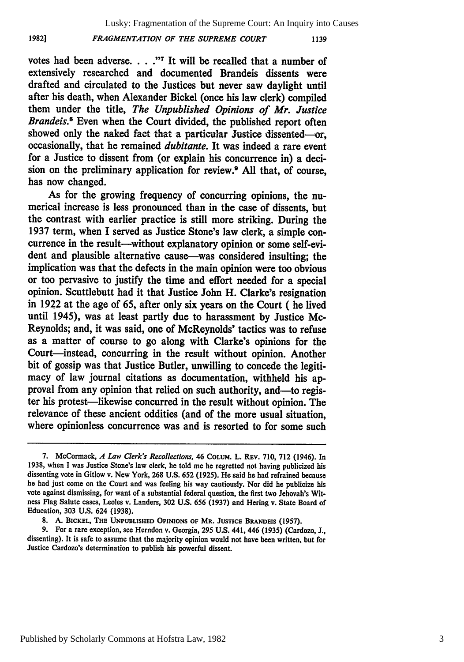Lusky: Fragmentation of the Supreme Court: An Inquiry into Causes

#### *FRAGMENTATION OF THE SUPREME COURT*

**1982]**

1139

votes had been adverse. . . ."<sup>7</sup> It will be recalled that a number of extensively researched and documented Brandeis dissents were drafted and circulated to the Justices but never saw daylight until after his death, when Alexander Bickel (once his law clerk) compiled them under the title, *The Unpublished Opinions of Mr. Justice Brandeis.*<sup>8</sup> Even when the Court divided, the published report often showed only the naked fact that a particular Justice dissented-or, occasionally, that he remained *dubitante.* It was indeed a rare event for a Justice to dissent from (or explain his concurrence in) a decision on the preliminary application for review.9 **All** that, of course, has now changed.

As for the growing frequency of concurring opinions, the numerical increase is less pronounced than in the case of dissents, but the contrast with earlier practice is still more striking. During the **1937** term, when I served as Justice Stone's law clerk, a simple concurrence in the result--without explanatory opinion or some self-evident and plausible alternative cause—was considered insulting; the implication was that the defects in the main opinion were too obvious or too pervasive to justify the time and effort needed for a special opinion. Scuttlebutt had it that Justice John H. Clarke's resignation in **1922** at the age of *65,* after only six years on the Court **(** he lived until 1945), was at least partly due to harassment **by** Justice Mc-Reynolds; and, it was said, one of McReynolds' tactics was to refuse as a matter of course to go along with Clarke's opinions for the Court-instead, concurring in the result without opinion. Another bit of gossip was that Justice Butler, unwilling to concede the legitimacy of law journal citations as documentation, withheld his approval from any opinion that relied on such authority, and—to register his protest-likewise concurred in the result without opinion. The relevance of these ancient oddities (and of the more usual situation, where opinionless concurrence was and is resorted to for some such

**<sup>7.</sup>** McCormack, *A Law Clerk's Recollections,* 46 COLUM. L. **REV. 710, 712** (1946). In **1938,** when **I** was Justice Stone's law clerk, he told me he regretted not having publicized his dissenting vote in Gitlow v. New York, **268 U.S. 652 (1925).** He said he had refrained because he had just come on the Court and was feeling his way cautiously. Nor did he publicize his vote against dismissing, for want of a substantial federal question, the first two Jehovah's Witness Flag Salute cases, Leoles v. Landers, **302 U.S.** 656 **(1937)** and Hering v. State Board of Education, **303 U.S.** 624 **(1938).**

<sup>8.</sup> A. BICKEL, THE UNPUBLISHED OPINIONS OF MR. JUSTICE BRANDEIS (1957).

**<sup>9.</sup>** For a rare exception, see Herndon v. Georgia, **295 U.S.** 441, 446 **(1935)** (Cardozo, **J.,** dissenting). It is safe to assume that the majority opinion would not have been written, but for Justice Cardozo's determination to publish his powerful dissent.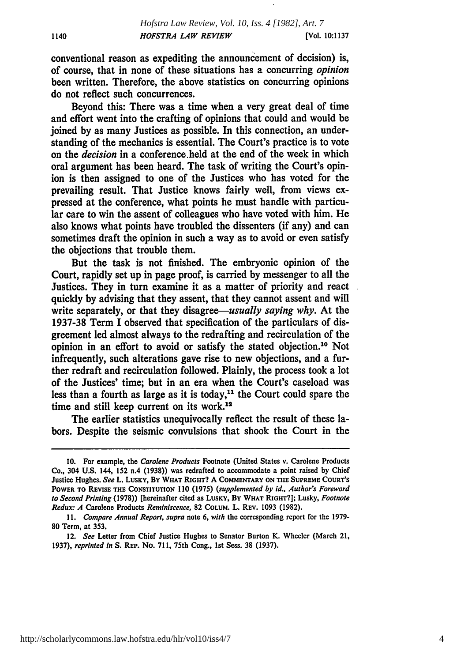conventional reason as expediting the announcement of decision) is, of course, that in none of these situations has a concurring *opinion* been written. Therefore, the above statistics on concurring opinions do not reflect such concurrences.

Beyond this: There was a time when a very great deal of time and effort went into the crafting of opinions that could and would be joined **by** as many Justices as possible. In this connection, an understanding of the mechanics is essential. The Court's practice is to vote on the *decision* in a conference held at the end of the week in which oral argument has been heard. The task of writing the Court's opinion is then assigned to one of the Justices who has voted for the prevailing result. That Justice knows fairly well, from views expressed at the conference, what points he must handle with particular care to win the assent of colleagues who have voted with him. He also knows what points have troubled the dissenters (if any) and can sometimes draft the opinion in such a way as to avoid or even satisfy the objections that trouble them.

But the task is not finished. The embryonic opinion of the Court, rapidly set up in page proof, is carried **by** messenger to all the Justices. They in turn examine it as a matter of priority and react quickly **by** advising that they assent, that they cannot assent and will write separately, or that they *disagree-usually saying why.* At the **1937-38** Term I observed that specification of the particulars of disgreement led almost always to the redrafting and recirculation of the opinion in an effort to avoid or satisfy the stated objection.10 Not infrequently, such alterations gave rise to new objections, and a further redraft and recirculation followed. Plainly, the process took a lot of the Justices' time; but in an era when the Court's caseload was less than a fourth as large as it is today,<sup>11</sup> the Court could spare the time and still keep current on its work.<sup>12</sup>

The earlier statistics unequivocally reflect the result of these labors. Despite the seismic convulsions that shook the Court in the

**<sup>10.</sup>** For example, the Carolene Products Footnote (United States v. Carolene Products Co., 304 **U.S.** 144, **152** n.4 **(1938))** was redrafted to accommodate a point raised **by** Chief Justice Hughes. See L. **LUSKY,** By WHAT **RIGHT? A COMMENTARY ON THE SUPREME COURT'S** POWER **TO** REVISE **THE CONSTITUTION 110 (1975)** (supplemented **by** id.. Author's Foreword to Second Printing **(1978))** [hereinafter cited as **LUSKY,** BY WHAT **RIGHT?];** Lusky, Footnote Redux: **A** Carolene Products Reminiscence, **82 COLUM.** L. REV. **1093 (1982).**

*<sup>11.</sup>* Compare Annual Report, supra note **6,** with the corresponding report for the **1979- 80** Term, at 353.

<sup>12.</sup> See Letter from Chief Justice Hughes to Senator Burton K. Wheeler (March 21, **1937),** reprinted *in* **S. REP.** No. **711,** 75th Cong., **1st** Sess. **38 (1937).**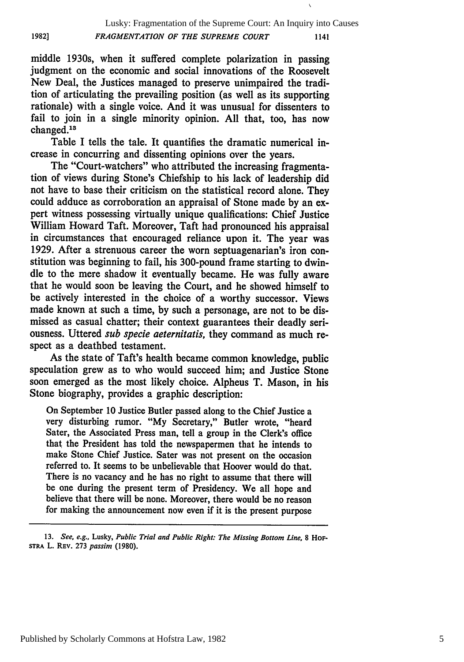**1982]**

 $\overline{\mathbf{r}}$ 

middle 1930s, when it suffered complete polarization in passing judgment on the economic and social innovations of the Roosevelt New Deal, the Justices managed to preserve unimpaired the tradition of articulating the prevailing position (as well as its supporting rationale) with a single voice. And it was unusual for dissenters to fail to join in a single minority opinion. All that, too, has now changed.<sup>13</sup>

Table I tells the tale. It quantifies the dramatic numerical increase in concurring and dissenting opinions over the years.

The "Court-watchers" who attributed the increasing fragmentation of views during Stone's Chiefship to his lack of leadership did not have to base their criticism on the statistical record alone. They could adduce as corroboration an appraisal of Stone made by an expert witness possessing virtually unique qualifications: Chief Justice William Howard Taft. Moreover, Taft had pronounced his appraisal in circumstances that encouraged reliance upon it. The year was 1929. After a strenuous career the worn septuagenarian's iron constitution was beginning to fail, his 300-pound frame starting to dwindle to the mere shadow it eventually became. He was fully aware that he would soon be leaving the Court, and he showed himself to be actively interested in the choice of a worthy successor. Views made known at such a time, by such a personage, are not to be dismissed as casual chatter; their context guarantees their deadly seriousness. Uttered *sub specie aeternitatis,* they command as much respect as a deathbed testament.

As the state of Taft's health became common knowledge, public speculation grew as to who would succeed him; and Justice Stone soon emerged as the most likely choice. Alpheus T. Mason, in his Stone biography, provides a graphic description:

On September 10 Justice Butler passed along to the Chief Justice a very disturbing rumor. "My Secretary," Butler wrote, "heard Sater, the Associated Press man, tell a group in the Clerk's office that the President has told the newspapermen that he intends to make Stone Chief Justice. Sater was not present on the occasion referred to. It seems to be unbelievable that Hoover would do that. There is no vacancy and he has no right to assume that there will be one during the present term of Presidency. We all hope and believe that there will be none. Moreover, there would be no reason for making the announcement now even if it is the present purpose

<sup>13.</sup> *See, e.g.,* Lusky, *Public Trial and Public Right: The Missing Bottom Line,* 8 **HoF-STRA** L. REV. 273 *passim* (1980).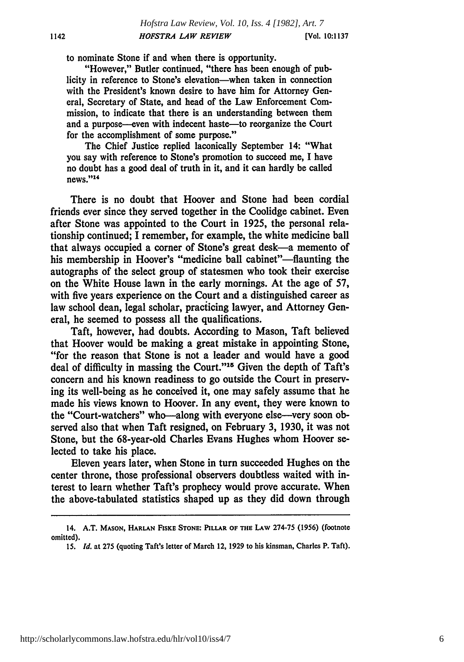to nominate Stone if and when there is opportunity.

"However," Butler continued, "there has been enough of publicity in reference to Stone's elevation-when taken in connection with the President's known desire to have him for Attorney General, Secretary of State, and head of the Law Enforcement Commission, to indicate that there is an understanding between them and a purpose--even with indecent haste-to reorganize the Court for the accomplishment of some purpose."

The Chief Justice replied laconically September 14: "What you say with reference to Stone's promotion to succeed me, **I** have no doubt has a good deal of truth in it, and it can hardly be called news." <sup>14</sup>

There is no doubt that Hoover and Stone had been cordial friends ever since they served together in the Coolidge cabinet. Even after Stone was appointed to the Court in **1925,** the personal relationship continued; I remember, for example, the white medicine ball that always occupied a corner of Stone's great desk-a memento of his membership in Hoover's "medicine ball cabinet"-flaunting the autographs of the select group of statesmen who took their exercise on the White House lawn in the early mornings. At the age of **57,** with five years experience on the Court and a distinguished career as law school dean, legal scholar, practicing lawyer, and Attorney General, he seemed to possess all the qualifications.

Taft, however, had doubts. According to Mason, Taft believed that Hoover would be making a great mistake in appointing Stone, "for the reason that Stone is not a leader and would have a good deal of difficulty in massing the Court."<sup>15</sup> Given the depth of Taft's concern and his known readiness to go outside the Court in preserving its well-being as he conceived it, one may safely assume that he made his views known to Hoover. In any event, they were known to the "Court-watchers" who-along with everyone else-very soon observed also that when Taft resigned, on February **3, 1930,** it was not Stone, but the 68-year-old Charles Evans Hughes whom Hoover selected to take his place.

Eleven years later, when Stone in turn succeeded Hughes on the center throne, those professional observers doubtless waited with interest to learn whether Taft's prophecy would prove accurate. When the above-tabulated statistics shaped up as they did down through

<sup>14.</sup> **A.T. MASON,** HARLAN **FISKE STONE: PILLAR OF THE LAW 274-75 (1956)** (footnote omitted).

*<sup>15.</sup> Id.* at **275** (quoting Taft's letter of March 12, **1929** to his kinsman, Charles P. Taft).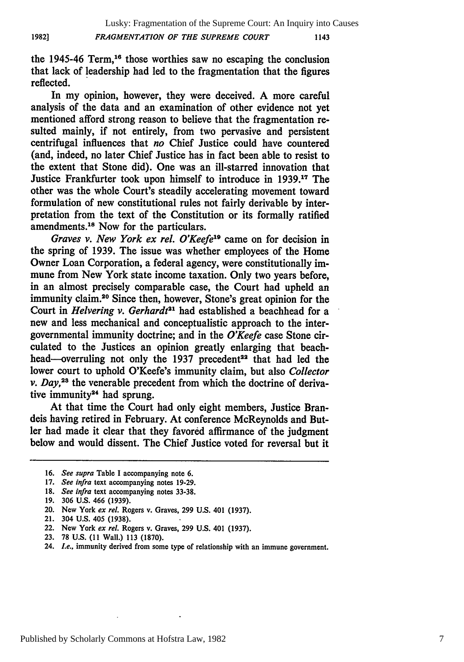the 1945-46 Term,<sup>16</sup> those worthies saw no escaping the conclusion that lack of leadership had led to the fragmentation that the figures reflected.

In my opinion, however, they were deceived. A more careful analysis of the data and an examination of other evidence not yet mentioned afford strong reason to believe that the fragmentation resulted mainly, if not entirely, from two pervasive and persistent centrifugal influences that *no* Chief Justice could have countered (and, indeed, no later Chief Justice has in fact been able to resist to the extent that Stone did). One was an ill-starred innovation that Justice Frankfurter took upon himself to introduce in **1939.17** The other was the whole Court's steadily accelerating movement toward formulation of new constitutional rules not fairly derivable **by** interpretation from the text of the Constitution or its formally ratified amendments.<sup>18</sup> Now for the particulars.

*Graves v. New York ex rel. O'Keefe"* came on for decision in the spring of **1939.** The issue was whether employees of the Home Owner Loan Corporation, a federal agency, were constitutionally immune from New York state income taxation. Only two years before, in an almost precisely comparable case, the Court had upheld an immunity claim.<sup>20</sup> Since then, however, Stone's great opinion for the Court in *Helvering v. Gerhardt*<sup>21</sup> had established a beachhead for a new and less mechanical and conceptualistic approach to the intergovernmental immunity doctrine; and in the *O'Keefe* case Stone circulated to the Justices an opinion greatly enlarging that beachhead--overruling not only the 1937 precedent<sup>22</sup> that had led the lower court to uphold O'Keefe's immunity claim, but also *Collector v. Day*,<sup>23</sup> the venerable precedent from which the doctrine of derivative immunity<sup>24</sup> had sprung.

At that time the Court had only eight members, Justice Brandeis having retired in February. At conference McReynolds and Butler had made it clear that they favored affirmance of the judgment below and would dissent. The Chief Justice voted for reversal but it

**19. 306 U.S.** 466 **(1939).**

**<sup>16.</sup>** *See supra* Table **I** accompanying note **6.**

**<sup>17.</sup>** *See infra* text accompanying notes **19-29.**

**<sup>18.</sup>** *See infra* text accompanying notes 33-38.

<sup>20.</sup> New York *ex rel.* Rogers v. Graves, **299 U.S.** 401 **(1937).**

<sup>21. 304</sup> **U.S.** 405 **(1938).**

<sup>22.</sup> New York *ex rel.* Rogers v. Graves, **299 U.S.** 401 **(1937).**

**<sup>23. 78</sup> U.S. (11** Wall.) **113 (1870).**

<sup>24.</sup> *Le..* immunity derived from some type of relationship with an immune government.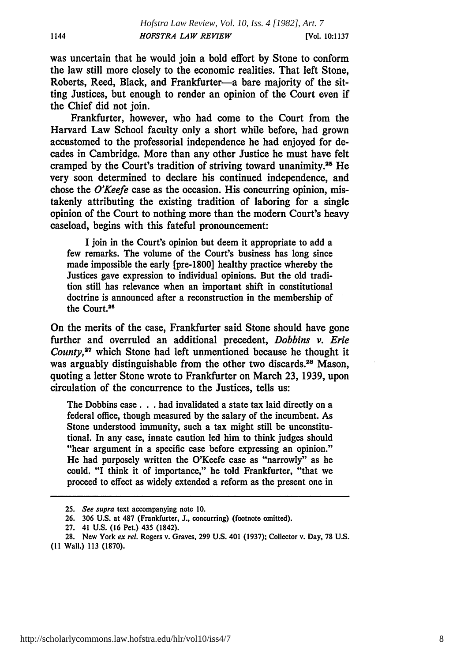was uncertain that he would join a bold effort **by** Stone to conform the law still more closely to the economic realities. That left Stone, Roberts, Reed, Black, and Frankfurter-a bare majority of the sitting Justices, but enough to render an opinion of the Court even if the Chief did not join.

1144

Frankfurter, however, who had come to the Court from the Harvard Law School faculty only a short while before, had grown accustomed to the professorial independence he had enjoyed for decades in Cambridge. More than any other Justice he must have felt cramped **by** the Court's tradition of striving toward unanimity. 25 He very soon determined to declare his continued independence, and chose the *O'Keefe* case as the occasion. His concurring opinion, mistakenly attributing the existing tradition of laboring for a single opinion of the Court to nothing more than the modern Court's heavy caseload, begins with this fateful pronouncement:

**I** join in the Court's opinion but deem it appropriate to add a few remarks. The volume of the Court's business has long since made impossible the early [pre-1800] healthy practice whereby the Justices gave expression to individual opinions. But the old tradition still has relevance when an important shift in constitutional doctrine is announced after a reconstruction in the membership of the Court.26

On the merits of the case, Frankfurter said Stone should have gone further and overruled an additional precedent, *Dobbins v. Erie County,27* which Stone had left unmentioned because he thought it was arguably distinguishable from the other two discards.<sup>28</sup> Mason, quoting a letter Stone wrote to Frankfurter on March **23, 1939,** upon circulation of the concurrence to the Justices, tells us:

The Dobbins case. **. .** had invalidated a state tax laid directly on a federal office, though measured **by** the salary of the incumbent. As Stone understood immunity, such a tax might still be unconstitutional. In any case, innate caution led him to think judges should "hear argument in a specific case before expressing an opinion." He had purposely written the O'Keefe case as "narrowly" as he could. **"I** think it of importance," he told Frankfurter, "that we proceed to effect as widely extended a reform as the present one in

**<sup>25.</sup>** *See* supra text accompanying note **10.**

**<sup>26. 306</sup> U.S.** at **487** (Frankfurter, **J.,** concurring) (footnote omitted).

**<sup>27.</sup>** 41 **U.S. (16** Pet.) 435 (1842).

**<sup>28.</sup>** New York *ex rel.* Rogers v. Graves, **299 U.S.** 401 **(1937);** Collector v. Day, **78 U.S. (11** Wall.) **113 (1870).**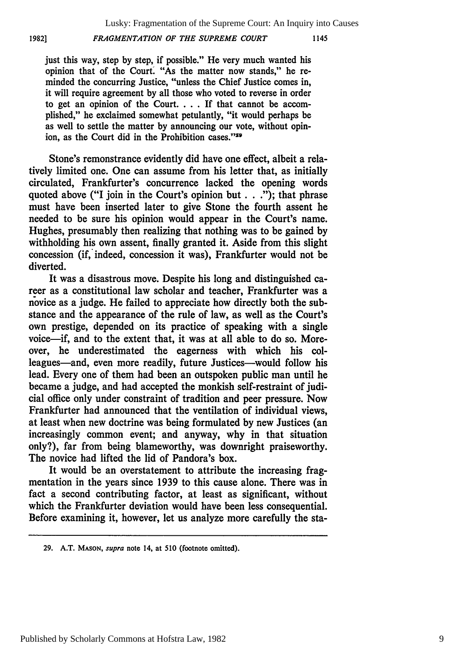*FRAGMENTATION OF THE SUPREME COURT*

**1982]**

just this way, step **by** step, if possible." He very much wanted his opinion that of the Court. "As the matter now stands," he reminded the concurring Justice, "unless the Chief Justice comes in, it will require agreement **by** all those who voted to reverse in order to get an opinion of the Court. . **.** . **If** that cannot be accomplished," he exclaimed somewhat petulantly, "it would perhaps be as well to settle the matter **by** announcing our vote, without opinion, as the Court did in the Prohibition cases."<sup>29</sup>

Stone's remonstrance evidently did have one effect, albeit a relatively limited one. One can assume from his letter that, as initially circulated, Frankfurter's concurrence lacked the opening words quoted above ("I join in the Court's opinion but **. . .");** that phrase must have been inserted later to give Stone the fourth assent he needed to be sure his opinion would appear in the Court's name. Hughes, presumably then realizing that nothing was to be gained **by** withholding his own assent, finally granted it. Aside from this slight concession (if, indeed, concession it was), Frankfurter would not be diverted.

It was a disastrous move. Despite his long and distinguished career as a constitutional law scholar and teacher, Frankfurter was a novice as a judge. He failed to appreciate how directly both the substance and the appearance of the rule of law, as well as the Court's own prestige, depended on its practice of speaking with a single voice-if, and to the extent that, it was at all able to do so. Moreover, he underestimated the eagerness with which his colleagues-and, even more readily, future Justices-would follow his lead. Every one of them had been an outspoken public man until he became a judge, and had accepted the monkish self-restraint of judicial office only under constraint of tradition and peer pressure. Now Frankfurter had announced that the ventilation of individual views, at least when new doctrine was being formulated **by** new Justices (an increasingly common event; and anyway, why in that situation only?), far from being blameworthy, was downright praiseworthy. The novice had lifted the lid of Pandora's box.

It would be an overstatement to attribute the increasing fragmentation in the years since **1939** to this cause alone. There was in fact a second contributing factor, at least as significant, without which the Frankfurter deviation would have been less consequential. Before examining it, however, let us analyze more carefully the sta-

**<sup>29.</sup> A.T. MASON,** supra note 14, at **510** (footnote omitted).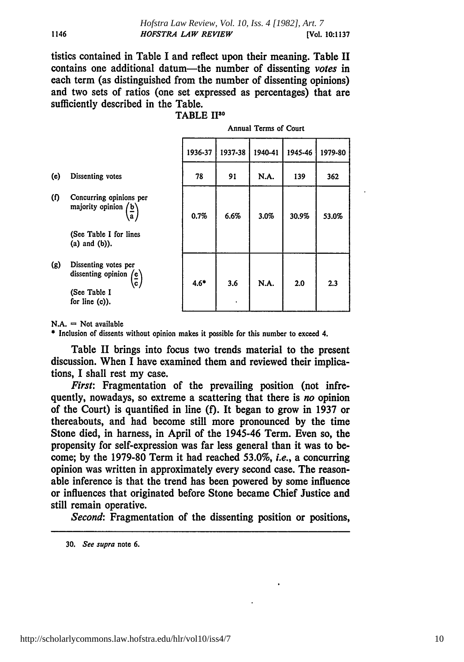tistics contained in Table I and reflect upon their meaning. Table II contains one additional datum-the number of dissenting *votes in* each term (as distinguished from the number of dissenting opinions) and two sets of ratios (one set expressed as percentages) that are sufficiently described in the Table.

|                  |                                                                                                                                 | 1936-37 | 1937-38 | 1940-41 | 1945-46 | 1979-80 |
|------------------|---------------------------------------------------------------------------------------------------------------------------------|---------|---------|---------|---------|---------|
| (e)              | Dissenting votes                                                                                                                | 78      | 91      | N.A.    | 139     | 362     |
| ( <sub>f</sub> ) | Concurring opinions per<br>majority opinion $\langle b \rangle$<br>$\mathbf{a}$<br>(See Table I for lines<br>$(a)$ and $(b)$ ). | 0.7%    | 6.6%    | 3.0%    | 30.9%   | 53.0%   |
| (g)              | Dissenting votes per<br>dissenting opinion $\left(\frac{e}{c}\right)$<br>(See Table I<br>for line $(c)$ ).                      | $4.6*$  | 3.6     | N.A.    | 2.0     | 2.3     |

Annual Terms of Court

 $N.A. = Not available$ 

**\*** Inclusion of dissents without opinion makes it possible for this number to exceed 4.

Table II brings into focus two trends material to the present discussion. When **I** have examined them and reviewed their implications, I shall rest my case.

*First:* Fragmentation of the prevailing position (not infrequently, nowadays, so extreme a scattering that there is *no* opinion of the Court) is quantified in line **(f).** It began to grow in **1937** or thereabouts, and had become still more pronounced **by** the time Stone died, in harness, in April of the 1945-46 Term. Even so, the propensity for self-expression was far less general than it was to become; **by** the **1979-80** Term it had reached **53.0%,** *i.e.,* a concurring opinion was written in approximately every second case. The reasonable inference is that the trend has been powered **by** some influence or influences that originated before Stone became Chief Justice and still remain operative.

*Second:* Fragmentation of the dissenting position or positions,

**30.** See supra note **6.**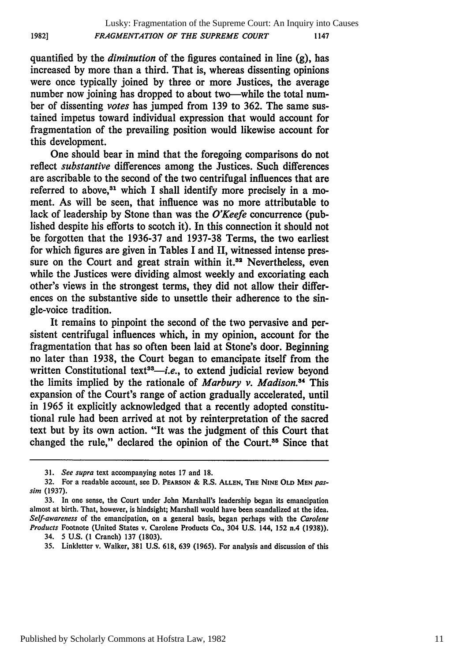quantified **by** the *diminution* of the figures contained in line (g), has increased **by** more than a third. That is, whereas dissenting opinions were once typically joined **by** three or more Justices, the average number now joining has dropped to about two—while the total number of dissenting *votes* has jumped from **139** to **362.** The same sustained impetus toward individual expression that would account for fragmentation of the prevailing position would likewise account for this development.

One should bear in mind that the foregoing comparisons do not reflect *substantive* differences among the Justices. Such differences are ascribable to the second of the two centrifugal influences that are referred to above, $31$  which I shall identify more precisely in a moment. As will be seen, that influence was no more attributable to lack of leadership **by** Stone than was the *O'Keefe* concurrence (published despite his efforts to scotch it). In this connection it should not be forgotten that the **1936-37** and **1937-38** Terms, the two earliest for which figures are given in Tables I and II, witnessed intense pressure on the Court and great strain within it.<sup>32</sup> Nevertheless, even while the Justices were dividing almost weekly and excoriating each other's views in the strongest terms, they did not allow their differences on the substantive side to unsettle their adherence to the single-voice tradition.

It remains to pinpoint the second of the two pervasive and persistent centrifugal influences which, in my opinion, account for the fragmentation that has so often been laid at Stone's door. Beginning no later than **1938,** the Court began to emancipate itself from the written Constitutional text<sup>33</sup>—*i.e.*, to extend judicial review beyond the limits implied by the rationale of *Marbury v. Madison*.<sup>34</sup> This expansion of the Court's range of action gradually accelerated, until in **1965** it explicitly acknowledged that a recently adopted constitutional rule had been arrived at not **by** reinterpretation of the sacred text but **by** its own action. "It was the judgment of this Court that changed the rule," declared the opinion of the Court. $35$  Since that

**1982]**

**<sup>31.</sup>** *See supra* text accompanying notes **17** and **18.**

**<sup>32.</sup>** For a readable account, see **D. PEARSON &** R.S. **ALLEN, THE NINE OLD MEN** *passim* **(1937).**

**<sup>33.</sup>** In one sense, the Court under John Marshall's leadership began its emancipation almost at birth. That, however, is hindsight; Marshall would have been scandalized at the idea. *Self-awareness* of the emancipation, on a general basis, began perhaps with the *Carolene Products* Footnote (United States v. Carolene Products Co., 304 **U.S.** 144, 152 n.4 **(1938)).**

<sup>34. 5</sup> **U.S. (1** Cranch) **137 (1803).**

**<sup>35.</sup>** Linkletter v. Walker, **381 U.S. 618, 639 (1965).** For analysis and discussion of this